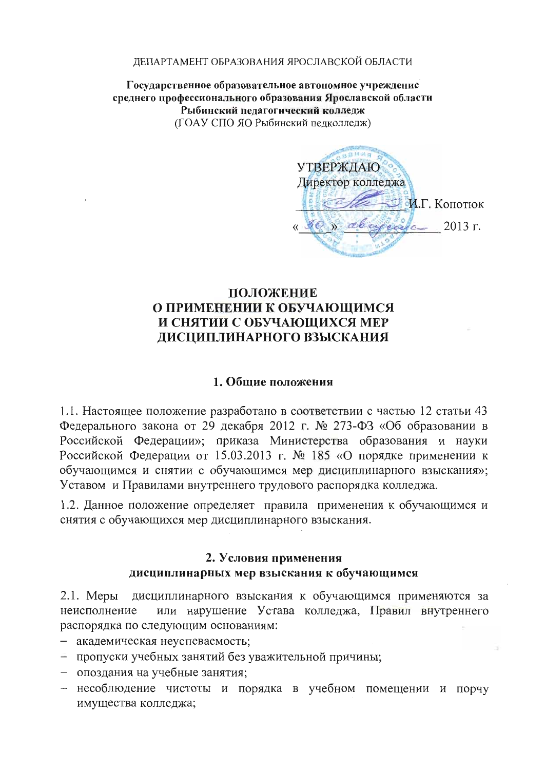#### ДЕПАРТАМЕНТ ОБРАЗОВАНИЯ ЯРОСЛАВСКОЙ ОБЛАСТИ

Государственное образовательное автономное учреждение среднего профессионального образования Ярославской области Рыбинский педагогический колледж (ГОАУ СПО ЯО Рыбинский педколледж)

 $14.01<sub>z</sub>$ **УТВЕРЖДАЮ** Директор колледжа И.Г. Копотюк  $z^2$  $80$   $\mu$  above  $\sim$  2013  $\mu$ .

# ПОЛОЖЕНИЕ О ПРИМЕНЕНИИ К ОБУЧАЮШИМСЯ И СНЯТИИ С ОБУЧАЮЩИХСЯ МЕР ДИСЦИПЛИНАРНОГО ВЗЫСКАНИЯ

### 1. Обшие положения

1.1. Настоящее положение разработано в соответствии с частью 12 статьи 43 Федерального закона от 29 декабря 2012 г. № 273-ФЗ «Об образовании в Российской Федерации»; приказа Министерства образования и науки Российской Федерации от 15.03.2013 г. № 185 «О порядке применении к обучающимся и снятии с обучающимся мер дисциплинарного взыскания»; Уставом и Правилами внутреннего трудового распорядка колледжа.

1.2. Данное положение определяет правила применения к обучающимся и снятия с обучающихся мер дисциплинарного взыскания.

### 2. Условия применения

### дисциплинарных мер взыскания к обучающимся

дисциплинарного взыскания к обучающимся применяются за  $2.1.$  Меры или нарушение Устава колледжа, Правил внутреннего неисполнение распорядка по следующим основаниям:

- академическая неуспеваемость;

- пропуски учебных занятий без уважительной причины;
- опоздания на учебные занятия;
- несоблюдение чистоты и порядка в учебном помещении и порчу имущества колледжа;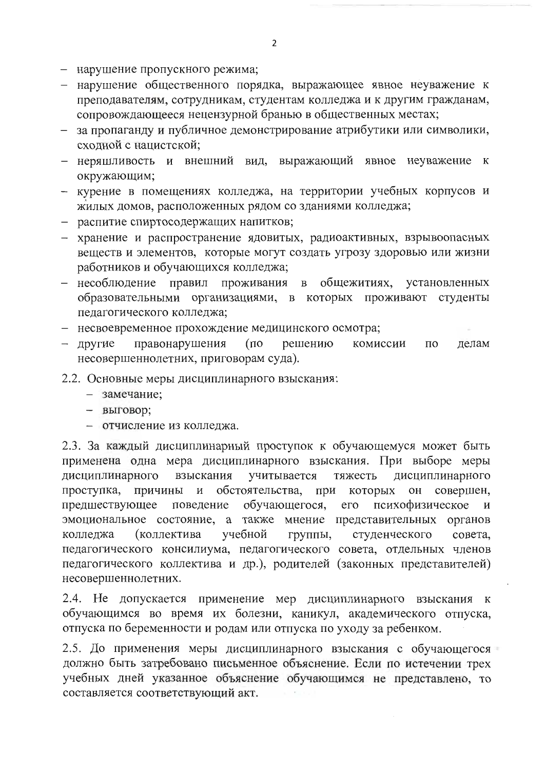- нарушение пропускного режима;
- нарушение общественного порядка, выражающее явное неуважение к преподавателям, сотрудникам, студентам колледжа и к другим гражданам, сопровождающееся нецензурной бранью в общественных местах;
- за пропаганду и публичное демонстрирование атрибутики или символики, сходной с нацистской:
- неряшливость и внешний вид, выражающий явное неуважение к окружающим;
- курение в помещениях колледжа, на территории учебных корпусов и жилых домов, расположенных рядом со зданиями колледжа;
- распитие спиртосодержащих напитков;
- хранение и распространение ядовитых, радиоактивных, взрывоопасных веществ и элементов, которые могут создать угрозу здоровью или жизни работников и обучающихся колледжа;
- несоблюдение правил проживания в общежитиях, установленных образовательными организациями, в которых проживают студенты педагогического колледжа;
- несвоевременное прохождение медицинского осмотра;
- другие правонарушения  $(nq)$ решению комиссии  $\Pi$ <sup>O</sup> делам несовершеннолетних, приговорам суда).
- 2.2. Основные меры дисциплинарного взыскания:
	- замечание;
	- выговор;
	- отчисление из колледжа.

2.3. За каждый дисциплинарный проступок к обучающемуся может быть применена одна мера дисциплинарного взыскания. При выборе меры дисциплинарного взыскания учитывается тяжесть дисциплинарного обстоятельства, при проступка, причины И которых он совершен, предшествующее поведение обучающегося,  $ero$ психофизическое  $\mathbf{M}$ эмоциональное состояние, а также мнение представительных органов учебной колледжа (коллектива группы, студенческого совета. педагогического консилиума, педагогического совета, отдельных членов педагогического коллектива и др.), родителей (законных представителей) несовершеннолетних.

2.4. Не допускается применение мер дисциплинарного взыскания к обучающимся во время их болезни, каникул, академического отпуска, отпуска по беременности и родам или отпуска по уходу за ребенком.

2.5. До применения меры дисциплинарного взыскания с обучающегося должно быть затребовано письменное объяснение. Если по истечении трех учебных дней указанное объяснение обучающимся не представлено, то составляется соответствующий акт.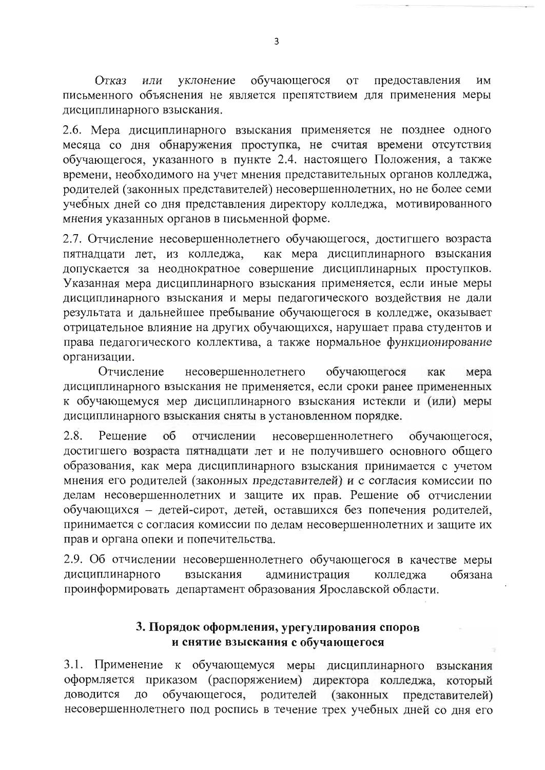обучающегося Отказ уклонение **OT** предоставления ИЛИ ИМ письменного объяснения не является препятствием для применения меры дисциплинарного взыскания.

2.6. Мера дисциплинарного взыскания применяется не позднее одного месяца со дня обнаружения проступка, не считая времени отсутствия обучающегося, указанного в пункте 2.4. настоящего Положения, а также времени, необходимого на учет мнения представительных органов колледжа, родителей (законных представителей) несовершеннолетних, но не более семи учебных дней со дня представления директору колледжа, мотивированного мнения указанных органов в письменной форме.

2.7. Отчисление несовершеннолетнего обучающегося, достигшего возраста пятнадцати лет, из колледжа, как мера дисциплинарного взыскания допускается за неоднократное совершение дисциплинарных проступков. Указанная мера дисциплинарного взыскания применяется, если иные меры дисциплинарного взыскания и меры педагогического воздействия не дали результата и дальнейшее пребывание обучающегося в колледже, оказывает отрицательное влияние на других обучающихся, нарушает права студентов и права педагогического коллектива, а также нормальное функционирование организации.

Отчисление несовершеннолетнего обучающегося как мера дисциплинарного взыскания не применяется, если сроки ранее примененных к обучающемуся мер дисциплинарного взыскания истекли и (или) меры дисциплинарного взыскания сняты в установленном порядке.

 $2.8.$  $0<sup>6</sup>$ Решение отчислении несовершеннолетнего обучающегося, достигшего возраста пятнадцати лет и не получившего основного общего образования, как мера дисциплинарного взыскания принимается с учетом мнения его родителей (законных представителей) и с согласия комиссии по делам несовершеннолетних и защите их прав. Решение об отчислении обучающихся - детей-сирот, детей, оставшихся без попечения родителей. принимается с согласия комиссии по делам несовершеннолетних и защите их прав и органа опеки и попечительства.

2.9. Об отчислении несовершеннолетнего обучающегося в качестве меры дисциплинарного взыскания администрация обязана колледжа проинформировать департамент образования Ярославской области.

## 3. Порядок оформления, урегулирования споров и снятие взыскания с обучающегося

3.1. Применение к обучающемуся меры дисциплинарного взыскания оформляется приказом (распоряжением) директора колледжа, который обучающегося, родителей (законных доводится ДО представителей) несовершеннолетнего под роспись в течение трех учебных дней со дня его